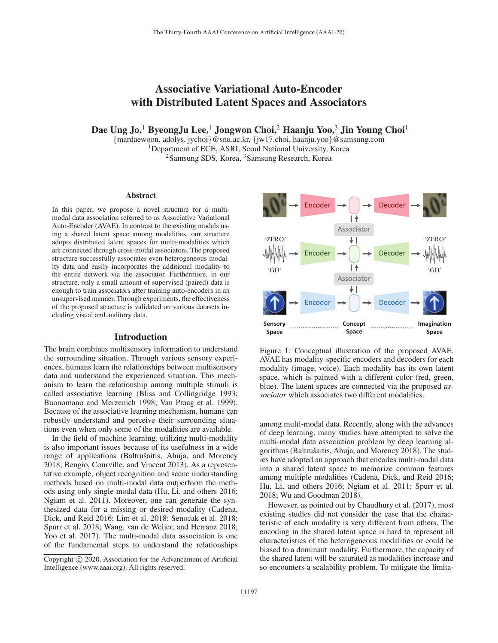# Associative Variational Auto-Encoder with Distributed Latent Spaces and Associators

Dae Ung Jo,<sup>1</sup> ByeongJu Lee,<sup>1</sup> Jongwon Choi,<sup>2</sup> Haanju Yoo,<sup>3</sup> Jin Young Choi<sup>1</sup>

{mardaewoon, adolys, jychoi}@snu.ac.kr, {jw17.choi, haanju.yoo}@samsung.com <sup>1</sup>Department of ECE, ASRI, Seoul National University, Korea <sup>2</sup>Samsung SDS, Korea, <sup>3</sup>Samsung Research, Korea

#### Abstract

In this paper, we propose a novel structure for a multimodal data association referred to as Associative Variational Auto-Encoder (AVAE). In contrast to the existing models using a shared latent space among modalities, our structure adopts distributed latent spaces for multi-modalities which are connected through cross-modal associators. The proposed structure successfully associates even heterogeneous modality data and easily incorporates the additional modality to the entire network via the associator. Furthermore, in our structure, only a small amount of supervised (paired) data is enough to train associators after training auto-encoders in an unsupervised manner. Through experiments, the effectiveness of the proposed structure is validated on various datasets including visual and auditory data.

## Introduction

The brain combines multisensory information to understand the surrounding situation. Through various sensory experiences, humans learn the relationships between multisensory data and understand the experienced situation. This mechanism to learn the relationship among multiple stimuli is called associative learning (Bliss and Collingridge 1993; Buonomano and Merzenich 1998; Van Praag et al. 1999). Because of the associative learning mechanism, humans can robustly understand and perceive their surrounding situations even when only some of the modalities are available.

In the field of machine learning, utilizing multi-modality is also important issues because of its usefulness in a wide range of applications (Baltrušaitis, Ahuja, and Morency 2018; Bengio, Courville, and Vincent 2013). As a representative example, object recognition and scene understanding methods based on multi-modal data outperform the methods using only single-modal data (Hu, Li, and others 2016; Ngiam et al. 2011). Moreover, one can generate the synthesized data for a missing or desired modality (Cadena, Dick, and Reid 2016; Lim et al. 2018; Senocak et al. 2018; Spurr et al. 2018; Wang, van de Weijer, and Herranz 2018; Yoo et al. 2017). The multi-modal data association is one of the fundamental steps to understand the relationships



Figure 1: Conceptual illustration of the proposed AVAE. AVAE has modality-specific encoders and decoders for each modality (image, voice). Each modality has its own latent space, which is painted with a different color (red, green, blue). The latent spaces are connected via the proposed *associator* which associates two different modalities.

among multi-modal data. Recently, along with the advances of deep learning, many studies have attempted to solve the multi-modal data association problem by deep learning algorithms (Baltrušaitis, Ahuja, and Morency 2018). The studies have adopted an approach that encodes multi-modal data into a shared latent space to memorize common features among multiple modalities (Cadena, Dick, and Reid 2016; Hu, Li, and others 2016; Ngiam et al. 2011; Spurr et al. 2018; Wu and Goodman 2018).

However, as pointed out by Chaudhury et al. (2017), most existing studies did not consider the case that the characteristic of each modality is very different from others. The encoding in the shared latent space is hard to represent all characteristics of the heterogeneous modalities or could be biased to a dominant modality. Furthermore, the capacity of the shared latent will be saturated as modalities increase and so encounters a scalability problem. To mitigate the limita-

Copyright  $\odot$  2020, Association for the Advancement of Artificial Intelligence (www.aaai.org). All rights reserved.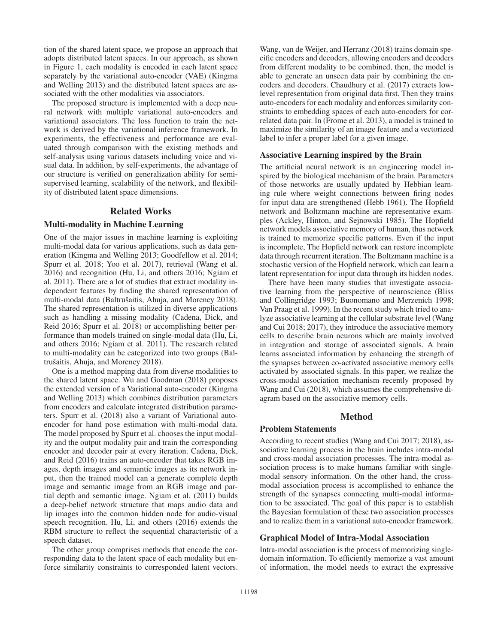tion of the shared latent space, we propose an approach that adopts distributed latent spaces. In our approach, as shown in Figure 1, each modality is encoded in each latent space separately by the variational auto-encoder (VAE) (Kingma and Welling 2013) and the distributed latent spaces are associated with the other modalities via associators.

The proposed structure is implemented with a deep neural network with multiple variational auto-encoders and variational associators. The loss function to train the network is derived by the variational inference framework. In experiments, the effectiveness and performance are evaluated through comparison with the existing methods and self-analysis using various datasets including voice and visual data. In addition, by self-experiments, the advantage of our structure is verified on generalization ability for semisupervised learning, scalability of the network, and flexibility of distributed latent space dimensions.

# Related Works

#### Multi-modality in Machine Learning

One of the major issues in machine learning is exploiting multi-modal data for various applications, such as data generation (Kingma and Welling 2013; Goodfellow et al. 2014; Spurr et al. 2018; Yoo et al. 2017), retrieval (Wang et al. 2016) and recognition (Hu, Li, and others 2016; Ngiam et al. 2011). There are a lot of studies that extract modality independent features by finding the shared representation of multi-modal data (Baltrušaitis, Ahuja, and Morency 2018). The shared representation is utilized in diverse applications such as handling a missing modality (Cadena, Dick, and Reid 2016; Spurr et al. 2018) or accomplishing better performance than models trained on single-modal data (Hu, Li, and others 2016; Ngiam et al. 2011). The research related to multi-modality can be categorized into two groups (Baltrušaitis, Ahuja, and Morency 2018).

One is a method mapping data from diverse modalities to the shared latent space. Wu and Goodman (2018) proposes the extended version of a Variational auto-encoder (Kingma and Welling 2013) which combines distribution parameters from encoders and calculate integrated distribution parameters. Spurr et al. (2018) also a variant of Variational autoencoder for hand pose estimation with multi-modal data. The model proposed by Spurr et al. chooses the input modality and the output modality pair and train the corresponding encoder and decoder pair at every iteration. Cadena, Dick, and Reid (2016) trains an auto-encoder that takes RGB images, depth images and semantic images as its network input, then the trained model can a generate complete depth image and semantic image from an RGB image and partial depth and semantic image. Ngiam et al. (2011) builds a deep-belief network structure that maps audio data and lip images into the common hidden node for audio-visual speech recognition. Hu, Li, and others (2016) extends the RBM structure to reflect the sequential characteristic of a speech dataset.

The other group comprises methods that encode the corresponding data to the latent space of each modality but enforce similarity constraints to corresponded latent vectors.

Wang, van de Weijer, and Herranz (2018) trains domain specific encoders and decoders, allowing encoders and decoders from different modality to be combined, then, the model is able to generate an unseen data pair by combining the encoders and decoders. Chaudhury et al. (2017) extracts lowlevel representation from original data first. Then they trains auto-encoders for each modality and enforces similarity constraints to embedding spaces of each auto-encoders for correlated data pair. In (Frome et al. 2013), a model is trained to maximize the similarity of an image feature and a vectorized label to infer a proper label for a given image.

## Associative Learning inspired by the Brain

The artificial neural network is an engineering model inspired by the biological mechanism of the brain. Parameters of those networks are usually updated by Hebbian learning rule where weight connections between firing nodes for input data are strengthened (Hebb 1961). The Hopfield network and Boltzmann machine are representative examples (Ackley, Hinton, and Sejnowski 1985). The Hopfield network models associative memory of human, thus network is trained to memorize specific patterns. Even if the input is incomplete, The Hopfield network can restore incomplete data through recurrent iteration. The Boltzmann machine is a stochastic version of the Hopfield network, which can learn a latent representation for input data through its hidden nodes.

There have been many studies that investigate associative learning from the perspective of neuroscience (Bliss and Collingridge 1993; Buonomano and Merzenich 1998; Van Praag et al. 1999). In the recent study which tried to analyze associative learning at the cellular substrate level (Wang and Cui 2018; 2017), they introduce the associative memory cells to describe brain neurons which are mainly involved in integration and storage of associated signals. A brain learns associated information by enhancing the strength of the synapses between co-activated associative memory cells activated by associated signals. In this paper, we realize the cross-modal association mechanism recently proposed by Wang and Cui (2018), which assumes the comprehensive diagram based on the associative memory cells.

## Method

# Problem Statements

According to recent studies (Wang and Cui 2017; 2018), associative learning process in the brain includes intra-modal and cross-modal association processes. The intra-modal association process is to make humans familiar with singlemodal sensory information. On the other hand, the crossmodal association process is accomplished to enhance the strength of the synapses connecting multi-modal information to be associated. The goal of this paper is to establish the Bayesian formulation of these two association processes and to realize them in a variational auto-encoder framework.

## Graphical Model of Intra-Modal Association

Intra-modal association is the process of memorizing singledomain information. To efficiently memorize a vast amount of information, the model needs to extract the expressive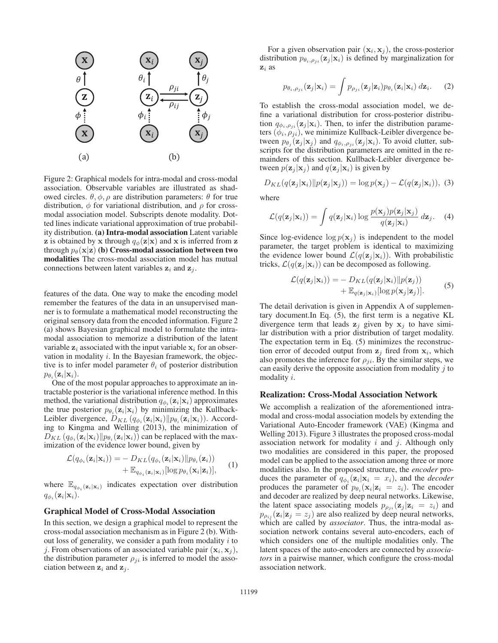

Figure 2: Graphical models for intra-modal and cross-modal association. Observable variables are illustrated as shadowed circles.  $\theta$ ,  $\phi$ ,  $\rho$  are distribution parameters: θ for true distribution,  $\phi$  for variational distribution, and  $\rho$  for crossmodal association model. Subscripts denote modality. Dotted lines indicate variational approximation of true probability distribution. (a) Intra-modal association Latent variable **z** is obtained by **x** through  $q_{\phi}(\mathbf{z}|\mathbf{x})$  and **x** is inferred from **z** through  $p_{\theta}(\mathbf{x}|\mathbf{z})$  (b) Cross-modal association between two modalities The cross-modal association model has mutual connections between latent variables  $z_i$  and  $z_j$ .

features of the data. One way to make the encoding model remember the features of the data in an unsupervised manner is to formulate a mathematical model reconstructing the original sensory data from the encoded information. Figure 2 (a) shows Bayesian graphical model to formulate the intramodal association to memorize a distribution of the latent variable  $z_i$  associated with the input variable  $x_i$  for an observation in modality  $i$ . In the Bayesian framework, the objective is to infer model parameter  $\theta_i$  of posterior distribution  $p_{\theta_i}(\mathbf{z}_i|\mathbf{x}_i).$ 

One of the most popular approaches to approximate an intractable posterior is the variational inference method. In this method, the variational distribution  $q_{\phi_i}(\mathbf{z}_i|\mathbf{x}_i)$  approximates the true posterior  $p_{\theta_i}(\mathbf{z}_i|\mathbf{x}_i)$  by minimizing the Kullback-Leibler divergence,  $D_{KL}(q_{\phi_i}(\mathbf{z}_i|\mathbf{x}_i)||p_{\theta_i}(\mathbf{z}_i|\mathbf{x}_i))$ . Accord-<br>ing to Kingma and Welling (2013), the minimization of ing to Kingma and Welling (2013), the minimization of  $\overline{D}_{KL} (q_{\phi_i}(\mathbf{z}_i|\mathbf{x}_i)) | p_{\theta_i}(\mathbf{z}_i|\mathbf{x}_i))$  can be replaced with the max-<br>imization of the evidence lower bound given by imization of the evidence lower bound, given by

$$
\mathcal{L}(q_{\phi_i}(\mathbf{z}_i|\mathbf{x}_i)) = -D_{KL}(q_{\phi_i}(\mathbf{z}_i|\mathbf{x}_i)||p_{\theta_i}(\mathbf{z}_i)) + \mathbb{E}_{q_{\phi_i}(\mathbf{z}_i|\mathbf{x}_i)}[\log p_{\theta_i}(\mathbf{x}_i|\mathbf{z}_i)], \qquad (1)
$$

where  $\mathbb{E}_{q_{\phi_i}(\mathbf{z}_i|\mathbf{x}_i)}$  indicates expectation over distribution  $q_{\phi_i}(\mathbf{z}_i|\mathbf{x}_i).$ 

#### Graphical Model of Cross-Modal Association

In this section, we design a graphical model to represent the cross-modal association mechanism as in Figure 2 (b). Without loss of generality, we consider a path from modality  $i$  to j. From observations of an associated variable pair  $(\mathbf{x}_i, \mathbf{x}_j)$ , the distribution parameter  $\rho_{ji}$  is inferred to model the association between  $z_i$  and  $z_j$ .

For a given observation pair  $(\mathbf{x}_i, \mathbf{x}_j)$ , the cross-posterior distribution  $p_{\theta_i, \rho_{ii}}(\mathbf{z}_i | \mathbf{x}_i)$  is defined by marginalization for **z**<sup>i</sup> as

$$
p_{\theta_i, \rho_{ji}}(\mathbf{z}_j|\mathbf{x}_i) = \int p_{\rho_{ji}}(\mathbf{z}_j|\mathbf{z}_i) p_{\theta_i}(\mathbf{z}_i|\mathbf{x}_i) d\mathbf{z}_i.
$$
 (2)

To establish the cross-modal association model, we define a variational distribution for cross-posterior distribution  $q_{\phi_i, \rho_{ji}}(\mathbf{z}_j | \mathbf{x}_i)$ . Then, to infer the distribution parameters  $(\phi_i, \rho_{ji})$ , we minimize Kullback-Leibler divergence between  $p_{\theta_j}(\mathbf{z}_j | \mathbf{x}_j)$  and  $q_{\phi_i, \rho_{ji}}(\mathbf{z}_j | \mathbf{x}_i)$ . To avoid clutter, subscripts for the distribution parameters are omitted in the remainders of this section. Kullback-Leibler divergence between  $p(\mathbf{z}_i | \mathbf{x}_i)$  and  $q(\mathbf{z}_i | \mathbf{x}_i)$  is given by

$$
D_{KL}(q(\mathbf{z}_j|\mathbf{x}_i)||p(\mathbf{z}_j|\mathbf{x}_j)) = \log p(\mathbf{x}_j) - \mathcal{L}(q(\mathbf{z}_j|\mathbf{x}_i)), \quad (3)
$$

where

$$
\mathcal{L}(q(\mathbf{z}_j|\mathbf{x}_i)) = \int q(\mathbf{z}_j|\mathbf{x}_i) \log \frac{p(\mathbf{x}_j)p(\mathbf{z}_j|\mathbf{x}_j)}{q(\mathbf{z}_j|\mathbf{x}_i)} d\mathbf{z}_j.
$$
 (4)

Since log-evidence  $\log p(\mathbf{x}_i)$  is independent to the model parameter, the target problem is identical to maximizing the evidence lower bound  $\mathcal{L}(q(\mathbf{z}_i | \mathbf{x}_i))$ . With probabilistic tricks,  $\mathcal{L}(q(\mathbf{z}_i | \mathbf{x}_i))$  can be decomposed as following.

$$
\mathcal{L}(q(\mathbf{z}_j|\mathbf{x}_i)) = -D_{KL}(q(\mathbf{z}_j|\mathbf{x}_i)||p(\mathbf{z}_j)) + \mathbb{E}_{q(\mathbf{z}_j|\mathbf{x}_i)}[\log p(\mathbf{x}_j|\mathbf{z}_j)].
$$
\n(5)

The detail derivation is given in Appendix A of supplementary document.In Eq. (5), the first term is a negative KL divergence term that leads  $z_j$  given by  $x_j$  to have similar distribution with a prior distribution of target modality. The expectation term in Eq. (5) minimizes the reconstruction error of decoded output from  $z_i$  fired from  $x_i$ , which also promotes the inference for  $\rho_{ji}$ . By the similar steps, we can easily derive the opposite association from modality  $j$  to modality i.

## Realization: Cross-Modal Association Network

We accomplish a realization of the aforementioned intramodal and cross-modal association models by extending the Variational Auto-Encoder framework (VAE) (Kingma and Welling 2013). Figure 3 illustrates the proposed cross-modal association network for modality  $i$  and  $j$ . Although only two modalities are considered in this paper, the proposed model can be applied to the association among three or more modalities also. In the proposed structure, the *encoder* produces the parameter of  $q_{\phi_i}(\mathbf{z}_i|\mathbf{x}_i = x_i)$ , and the *decoder* produces the parameter of  $p_{\theta_i}(\mathbf{x}_i|\mathbf{z}_i = z_i)$ . The encoder and decoder are realized by deep neural networks. Likewise, the latent space associating models  $p_{\rho_{ji}}(\mathbf{z}_j | \mathbf{z}_i = z_i)$  and  $p_{\rho_{ij}}(\mathbf{z}_i|\mathbf{z}_j = z_j)$  are also realized by deep neural networks, which are called by *associator*. Thus, the intra-modal association network contains several auto-encoders, each of which considers one of the multiple modalities only. The latent spaces of the auto-encoders are connected by *associators* in a pairwise manner, which configure the cross-modal association network.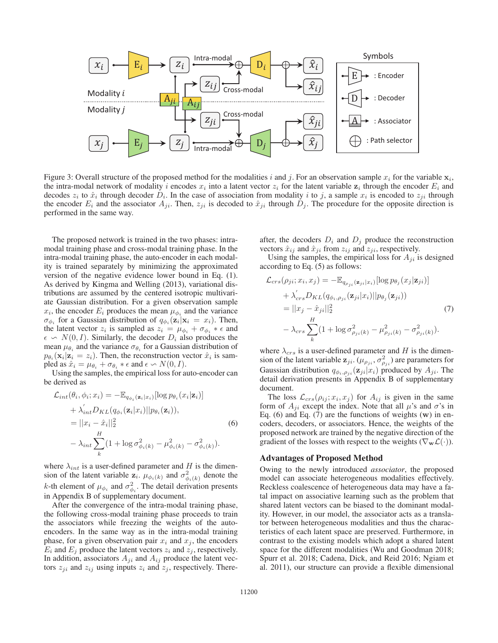

Figure 3: Overall structure of the proposed method for the modalities i and j. For an observation sample  $x_i$  for the variable  $\mathbf{x}_i$ , the intra-modal network of modality i encodes  $x_i$  into a latent vector  $z_i$  for the latent variable  $z_i$  through the encoder  $E_i$  and decodes  $z_i$  to  $\hat{x}_i$  through decoder  $D_i$ . In the case of association from modality i to j, a sample  $x_i$  is encoded to  $z_{ji}$  through the encoder  $E_i$  and the associator  $A_{ji}$ . Then,  $z_{ji}$  is decoded to  $\hat{x}_{ji}$  through  $D_j$ . The procedure for the opposite direction is performed in the same way.

The proposed network is trained in the two phases: intramodal training phase and cross-modal training phase. In the intra-modal training phase, the auto-encoder in each modality is trained separately by minimizing the approximated version of the negative evidence lower bound in Eq. (1). As derived by Kingma and Welling (2013), variational distributions are assumed by the centered isotropic multivariate Gaussian distribution. For a given observation sample  $x_i$ , the encoder  $E_i$  produces the mean  $\mu_{\phi_i}$  and the variance  $\sigma_{\phi_i}$  for a Gaussian distribution of  $q_{\phi_i}(\mathbf{z}_i|\mathbf{x}_i = x_i)$ . Then, the latent vector  $z_i$  is sampled as  $z_i = \mu_{\phi_i} + \sigma_{\phi_i} * \epsilon$  and  $\epsilon \sim N(0, I)$ . Similarly, the decoder  $D_i$  also produces the mean  $\mu_0$  and the variance  $\sigma_0$  for a Gaussian distribution of mean  $\mu_{\theta_i}$  and the variance  $\sigma_{\theta_i}$  for a Gaussian distribution of  $p_{\theta_i}(\mathbf{x}_i|\mathbf{z}_i = z_i)$ . Then, the reconstruction vector  $\hat{x}_i$  is sampled as  $\hat{x}_i = \mu_{\theta_i} + \sigma_{\theta_i} * \epsilon$  and  $\epsilon \sim N(0, I)$ .<br>
Using the samples the empirical loss for a

Using the samples, the empirical loss for auto-encoder can be derived as

$$
\mathcal{L}_{int}(\theta_i, \phi_i; x_i) = -\mathbb{E}_{q_{\phi_i}(\mathbf{z}_i|x_i)}[\log p_{\theta_i}(x_i|\mathbf{z}_i)] \n+ \lambda'_{int} D_{KL}(q_{\phi_i}(\mathbf{z}_i|x_i)||p_{\theta_i}(\mathbf{z}_i)),\n= ||x_i - \hat{x}_i||_2^2
$$
\n(6)  
\n
$$
- \lambda_{int} \sum_k (1 + \log \sigma_{\phi_i(k)}^2 - \mu_{\phi_i(k)}^2 - \sigma_{\phi_i(k)}^2).
$$

where  $\lambda_{int}$  is a user-defined parameter and H is the dimension of the latent variable  $\mathbf{z}_i$ .  $\mu_{\phi_i(k)}$  and  $\sigma_{\phi_i(k)}^2$  denote the k-th element of  $\mu_{\phi_i}$  and  $\sigma_{\phi_i}^2$ . The detail derivation presents in Appendix B of supplementary document.

After the convergence of the intra-modal training phase, the following cross-modal training phase proceeds to train the associators while freezing the weights of the autoencoders. In the same way as in the intra-modal training phase, for a given observation pair  $x_i$  and  $x_j$ , the encoders  $E_i$  and  $E_j$  produce the latent vectors  $z_i$  and  $z_j$ , respectively. In addition, associators  $A_{ji}$  and  $A_{ij}$  produce the latent vectors  $z_{ji}$  and  $z_{ij}$  using inputs  $z_i$  and  $z_j$ , respectively. Thereafter, the decoders  $D_i$  and  $D_j$  produce the reconstruction vectors  $\hat{x}_{ij}$  and  $\hat{x}_{ji}$  from  $z_{ij}$  and  $z_{ji}$ , respectively.

Using the samples, the empirical loss for  $A_{ji}$  is designed according to Eq. (5) as follows:

$$
\mathcal{L}_{crs}(\rho_{ji}; x_i, x_j) = -\mathbb{E}_{q_{\rho_{ji}}(\mathbf{z}_{ji}|x_i)}[\log p_{\theta_j}(x_j|\mathbf{z}_{ji})]
$$
  
+  $\lambda'_{crs}D_{KL}(q_{\phi_i, \rho_{ji}}(\mathbf{z}_{ji}|x_i)||p_{\theta_j}(\mathbf{z}_{ji}))$   
=  $||x_j - \hat{x}_{ji}||_2^2$  (7)  
-  $\lambda_{crs} \sum_k (1 + \log \sigma_{\rho_{ji}(k)}^2 - \mu_{\rho_{ji}(k)}^2 - \sigma_{\rho_{ji}(k)}^2).$ 

where  $\lambda_{crs}$  is a user-defined parameter and H is the dimension of the latent variable  $\mathbf{z}_{ji}$ .  $(\mu_{\rho_{ji}}, \sigma_{\rho_{ji}}^2)$  are parameters for Gaussian distribution  $q_{\phi_i, \rho_{ji}}(\mathbf{z}_{ji}|x_i)$  produced by  $A_{ji}$ . The detail derivation presents in Appendix B of supplementary document.

The loss  $\mathcal{L}_{crs}(\rho_{ij}; x_i, x_j)$  for  $A_{ij}$  is given in the same form of  $A_{ji}$  except the index. Note that all  $\mu$ 's and  $\sigma$ 's in Eq. (6) and Eq. (7) are the functions of weights (**w**) in encoders, decoders, or associators. Hence, the weights of the proposed network are trained by the negative direction of the gradient of the losses with respect to the weights ( $\nabla_{\mathbf{w}}\mathcal{L}(\cdot)$ ).

#### Advantages of Proposed Method

Owing to the newly introduced *associator*, the proposed model can associate heterogeneous modalities effectively. Reckless coalescence of heterogeneous data may have a fatal impact on associative learning such as the problem that shared latent vectors can be biased to the dominant modality. However, in our model, the associator acts as a translator between heterogeneous modalities and thus the characteristics of each latent space are preserved. Furthermore, in contrast to the existing models which adopt a shared latent space for the different modalities (Wu and Goodman 2018; Spurr et al. 2018; Cadena, Dick, and Reid 2016; Ngiam et al. 2011), our structure can provide a flexible dimensional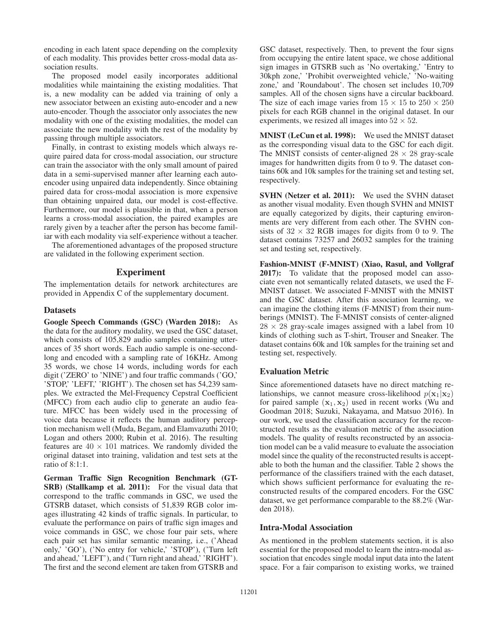encoding in each latent space depending on the complexity of each modality. This provides better cross-modal data association results.

The proposed model easily incorporates additional modalities while maintaining the existing modalities. That is, a new modality can be added via training of only a new associator between an existing auto-encoder and a new auto-encoder. Though the associator only associates the new modality with one of the existing modalities, the model can associate the new modality with the rest of the modality by passing through multiple associators.

Finally, in contrast to existing models which always require paired data for cross-modal association, our structure can train the associator with the only small amount of paired data in a semi-supervised manner after learning each autoencoder using unpaired data independently. Since obtaining paired data for cross-modal association is more expensive than obtaining unpaired data, our model is cost-effective. Furthermore, our model is plausible in that, when a person learns a cross-modal association, the paired examples are rarely given by a teacher after the person has become familiar with each modality via self-experience without a teacher.

The aforementioned advantages of the proposed structure are validated in the following experiment section.

## Experiment

The implementation details for network architectures are provided in Appendix C of the supplementary document.

#### **Datasets**

Google Speech Commands (GSC) (Warden 2018): As the data for the auditory modality, we used the GSC dataset, which consists of 105,829 audio samples containing utterances of 35 short words. Each audio sample is one-secondlong and encoded with a sampling rate of 16KHz. Among 35 words, we chose 14 words, including words for each digit ('ZERO' to 'NINE') and four traffic commands ('GO,' 'STOP,' 'LEFT,' 'RIGHT'). The chosen set has 54,239 samples. We extracted the Mel-Frequency Cepstral Coefficient (MFCC) from each audio clip to generate an audio feature. MFCC has been widely used in the processing of voice data because it reflects the human auditory perception mechanism well (Muda, Begam, and Elamvazuthi 2010; Logan and others 2000; Rubin et al. 2016). The resulting features are  $40 \times 101$  matrices. We randomly divided the original dataset into training, validation and test sets at the ratio of 8:1:1.

German Traffic Sign Recognition Benchmark (GT-SRB) (Stallkamp et al. 2011): For the visual data that correspond to the traffic commands in GSC, we used the GTSRB dataset, which consists of 51,839 RGB color images illustrating 42 kinds of traffic signals. In particular, to evaluate the performance on pairs of traffic sign images and voice commands in GSC, we chose four pair sets, where each pair set has similar semantic meaning, i.e., ('Ahead only,' 'GO'), ('No entry for vehicle,' 'STOP'), ('Turn left and ahead,' 'LEFT'), and ('Turn right and ahead,' 'RIGHT'). The first and the second element are taken from GTSRB and GSC dataset, respectively. Then, to prevent the four signs from occupying the entire latent space, we chose additional sign images in GTSRB such as 'No overtaking,' 'Entry to 30kph zone,' 'Prohibit overweighted vehicle,' 'No-waiting zone,' and 'Roundabout'. The chosen set includes 10,709 samples. All of the chosen signs have a circular backboard. The size of each image varies from  $15 \times 15$  to  $250 \times 250$ pixels for each RGB channel in the original dataset. In our experiments, we resized all images into  $52 \times 52$ .

MNIST (LeCun et al. 1998): We used the MNIST dataset as the corresponding visual data to the GSC for each digit. The MNIST consists of center-aligned  $28 \times 28$  gray-scale images for handwritten digits from 0 to 9. The dataset contains 60k and 10k samples for the training set and testing set, respectively.

SVHN (Netzer et al. 2011): We used the SVHN dataset as another visual modality. Even though SVHN and MNIST are equally categorized by digits, their capturing environments are very different from each other. The SVHN consists of  $32 \times 32$  RGB images for digits from 0 to 9. The dataset contains 73257 and 26032 samples for the training set and testing set, respectively.

Fashion-MNIST (F-MNIST) (Xiao, Rasul, and Vollgraf 2017): To validate that the proposed model can associate even not semantically related datasets, we used the F-MNIST dataset. We associated F-MNIST with the MNIST and the GSC dataset. After this association learning, we can imagine the clothing items (F-MNIST) from their numberings (MNIST). The F-MNIST consists of center-aligned  $28 \times 28$  gray-scale images assigned with a label from 10 kinds of clothing such as T-shirt, Trouser and Sneaker. The dataset contains 60k and 10k samples for the training set and testing set, respectively.

## Evaluation Metric

Since aforementioned datasets have no direct matching relationships, we cannot measure cross-likelihood  $p(\mathbf{x}_1|\mathbf{x}_2)$ for paired sample  $(\mathbf{x}_1, \mathbf{x}_2)$  used in recent works (Wu and Goodman 2018; Suzuki, Nakayama, and Matsuo 2016). In our work, we used the classification accuracy for the reconstructed results as the evaluation metric of the association models. The quality of results reconstructed by an association model can be a valid measure to evaluate the association model since the quality of the reconstructed results is acceptable to both the human and the classifier. Table 2 shows the performance of the classifiers trained with the each dataset, which shows sufficient performance for evaluating the reconstructed results of the compared encoders. For the GSC dataset, we get performance comparable to the 88.2% (Warden 2018).

## Intra-Modal Association

As mentioned in the problem statements section, it is also essential for the proposed model to learn the intra-modal association that encodes single modal input data into the latent space. For a fair comparison to existing works, we trained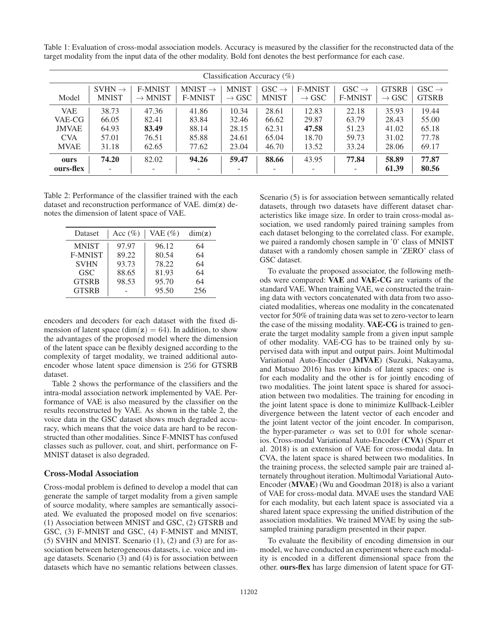Table 1: Evaluation of cross-modal association models. Accuracy is measured by the classifier for the reconstructed data of the target modality from the input data of the other modality. Bold font denotes the best performance for each case.

| Classification Accuracy $(\%)$ |                                    |                                       |                                       |                                   |                                   |                                     |                                     |                                   |                                   |
|--------------------------------|------------------------------------|---------------------------------------|---------------------------------------|-----------------------------------|-----------------------------------|-------------------------------------|-------------------------------------|-----------------------------------|-----------------------------------|
| Model                          | $SVHN \rightarrow$<br><b>MNIST</b> | <b>F-MNIST</b><br>$\rightarrow$ MNIST | $MNIST \rightarrow$<br><b>F-MNIST</b> | <b>MNIST</b><br>$\rightarrow$ GSC | $GSC \rightarrow$<br><b>MNIST</b> | <b>F-MNIST</b><br>$\rightarrow$ GSC | $GSC \rightarrow$<br><b>F-MNIST</b> | <b>GTSRB</b><br>$\rightarrow$ GSC | $GSC \rightarrow$<br><b>GTSRB</b> |
| <b>VAE</b>                     | 38.73                              | 47.36                                 | 41.86                                 | 10.34                             | 28.61                             | 12.83                               | 22.18                               | 35.93                             | 19.44                             |
| VAE-CG                         | 66.05                              | 82.41                                 | 83.84                                 | 32.46                             | 66.62                             | 29.87                               | 63.79                               | 28.43                             | 55.00                             |
| <b>JMVAE</b>                   | 64.93                              | 83.49                                 | 88.14                                 | 28.15                             | 62.31                             | 47.58                               | 51.23                               | 41.02                             | 65.18                             |
| <b>CVA</b>                     | 57.01                              | 76.51                                 | 85.88                                 | 24.61                             | 65.04                             | 18.70                               | 59.73                               | 31.02                             | 77.78                             |
| <b>MVAE</b>                    | 31.18                              | 62.65                                 | 77.62                                 | 23.04                             | 46.70                             | 13.52                               | 33.24                               | 28.06                             | 69.17                             |
| ours                           | 74.20                              | 82.02                                 | 94.26                                 | 59.47                             | 88.66                             | 43.95                               | 77.84                               | 58.89                             | 77.87                             |
| ours-flex                      | ٠                                  |                                       |                                       | ۰                                 | -                                 | $\overline{\phantom{0}}$            |                                     | 61.39                             | 80.56                             |

Table 2: Performance of the classifier trained with the each dataset and reconstruction performance of VAE. dim(**z**) denotes the dimension of latent space of VAE.

| Dataset        | Acc $(\%)$ | VAE $(\%)$ | dim(z) |
|----------------|------------|------------|--------|
| <b>MNIST</b>   | 97.97      | 96.12      | 64     |
| <b>F-MNIST</b> | 89.22      | 80.54      | 64     |
| <b>SVHN</b>    | 93.73      | 78.22      | 64     |
| <b>GSC</b>     | 88.65      | 81.93      | 64     |
| <b>GTSRB</b>   | 98.53      | 95.70      | 64     |
| <b>GTSRB</b>   |            | 95.50      | 256    |

encoders and decoders for each dataset with the fixed dimension of latent space (dim( $z$ ) = 64). In addition, to show the advantages of the proposed model where the dimension of the latent space can be flexibly designed according to the complexity of target modality, we trained additional autoencoder whose latent space dimension is 256 for GTSRB dataset.

Table 2 shows the performance of the classifiers and the intra-modal association network implemented by VAE. Performance of VAE is also measured by the classifier on the results reconstructed by VAE. As shown in the table 2, the voice data in the GSC dataset shows much degraded accuracy, which means that the voice data are hard to be reconstructed than other modalities. Since F-MNIST has confused classes such as pullover, coat, and shirt, performance on F-MNIST dataset is also degraded.

# Cross-Modal Association

Cross-modal problem is defined to develop a model that can generate the sample of target modality from a given sample of source modality, where samples are semantically associated. We evaluated the proposed model on five scenarios: (1) Association between MNIST and GSC, (2) GTSRB and GSC, (3) F-MNIST and GSC, (4) F-MNIST and MNIST, (5) SVHN and MNIST. Scenario (1), (2) and (3) are for association between heterogeneous datasets, i.e. voice and image datasets. Scenario (3) and (4) is for association between datasets which have no semantic relations between classes.

Scenario (5) is for association between semantically related datasets, through two datasets have different dataset characteristics like image size. In order to train cross-modal association, we used randomly paired training samples from each dataset belonging to the correlated class. For example, we paired a randomly chosen sample in '0' class of MNIST dataset with a randomly chosen sample in 'ZERO' class of GSC dataset.

To evaluate the proposed associator, the following methods were compared: VAE and VAE-CG are variants of the standard VAE. When training VAE, we constructed the training data with vectors concatenated with data from two associated modalities, whereas one modality in the concatenated vector for 50% of training data was set to zero-vector to learn the case of the missing modality. VAE-CG is trained to generate the target modality sample from a given input sample of other modality. VAE-CG has to be trained only by supervised data with input and output pairs. Joint Multimodal Variational Auto-Encoder (JMVAE) (Suzuki, Nakayama, and Matsuo 2016) has two kinds of latent spaces: one is for each modality and the other is for jointly encoding of two modalities. The joint latent space is shared for association between two modalities. The training for encoding in the joint latent space is done to minimize Kullback-Leibler divergence between the latent vector of each encoder and the joint latent vector of the joint encoder. In comparison, the hyper-parameter  $\alpha$  was set to 0.01 for whole scenarios. Cross-modal Variational Auto-Encoder (CVA) (Spurr et al. 2018) is an extension of VAE for cross-modal data. In CVA, the latent space is shared between two modalities. In the training process, the selected sample pair are trained alternately throughout iteration. Multimodal Variational Auto-Encoder (MVAE) (Wu and Goodman 2018) is also a variant of VAE for cross-modal data. MVAE uses the standard VAE for each modality, but each latent space is associated via a shared latent space expressing the unified distribution of the association modalities. We trained MVAE by using the subsampled training paradigm presented in their paper.

To evaluate the flexibility of encoding dimension in our model, we have conducted an experiment where each modality is encoded in a different dimensional space from the other. ours-flex has large dimension of latent space for GT-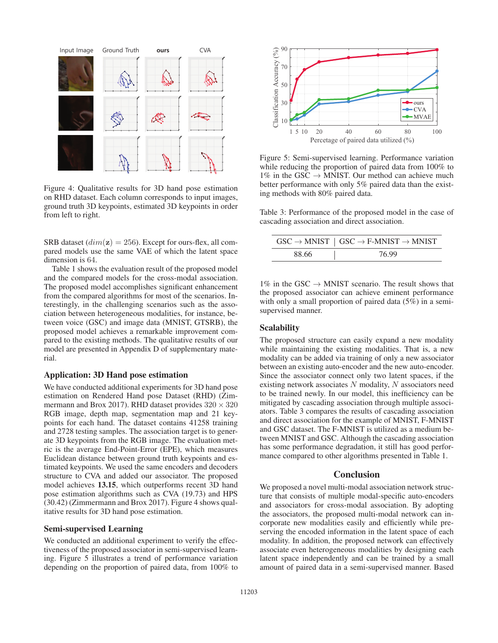

Figure 4: Qualitative results for 3D hand pose estimation on RHD dataset. Each column corresponds to input images, ground truth 3D keypoints, estimated 3D keypoints in order from left to right.

SRB dataset  $dim(z) = 256$ ). Except for ours-flex, all compared models use the same VAE of which the latent space dimension is 64.

Table 1 shows the evaluation result of the proposed model and the compared models for the cross-modal association. The proposed model accomplishes significant enhancement from the compared algorithms for most of the scenarios. Interestingly, in the challenging scenarios such as the association between heterogeneous modalities, for instance, between voice (GSC) and image data (MNIST, GTSRB), the proposed model achieves a remarkable improvement compared to the existing methods. The qualitative results of our model are presented in Appendix D of supplementary material.

# Application: 3D Hand pose estimation

We have conducted additional experiments for 3D hand pose estimation on Rendered Hand pose Dataset (RHD) (Zimmermann and Brox 2017). RHD dataset provides  $320 \times 320$ RGB image, depth map, segmentation map and 21 keypoints for each hand. The dataset contains 41258 training and 2728 testing samples. The association target is to generate 3D keypoints from the RGB image. The evaluation metric is the average End-Point-Error (EPE), which measures Euclidean distance between ground truth keypoints and estimated keypoints. We used the same encoders and decoders structure to CVA and added our associator. The proposed model achieves 13.15, which outperforms recent 3D hand pose estimation algorithms such as CVA (19.73) and HPS (30.42) (Zimmermann and Brox 2017). Figure 4 shows qualitative results for 3D hand pose estimation.

## Semi-supervised Learning

We conducted an additional experiment to verify the effectiveness of the proposed associator in semi-supervised learning. Figure 5 illustrates a trend of performance variation depending on the proportion of paired data, from 100% to



Figure 5: Semi-supervised learning. Performance variation while reducing the proportion of paired data from 100% to  $1\%$  in the GSC  $\rightarrow$  MNIST. Our method can achieve much better performance with only 5% paired data than the existing methods with 80% paired data.

Table 3: Performance of the proposed model in the case of cascading association and direct association.

|       | $\text{GSC} \rightarrow \text{MNIST} \mid \text{GSC} \rightarrow \text{F-MNIST} \rightarrow \text{MNIST}$ |
|-------|-----------------------------------------------------------------------------------------------------------|
| 88.66 | 76.99                                                                                                     |

 $1\%$  in the GSC  $\rightarrow$  MNIST scenario. The result shows that the proposed associator can achieve eminent performance with only a small proportion of paired data (5%) in a semisupervised manner.

## **Scalability**

The proposed structure can easily expand a new modality while maintaining the existing modalities. That is, a new modality can be added via training of only a new associator between an existing auto-encoder and the new auto-encoder. Since the associator connect only two latent spaces, if the existing network associates  $N$  modality,  $N$  associators need to be trained newly. In our model, this inefficiency can be mitigated by cascading association through multiple associators. Table 3 compares the results of cascading association and direct association for the example of MNIST, F-MNIST and GSC dataset. The F-MNIST is utilized as a medium between MNIST and GSC. Although the cascading association has some performance degradation, it still has good performance compared to other algorithms presented in Table 1.

## **Conclusion**

We proposed a novel multi-modal association network structure that consists of multiple modal-specific auto-encoders and associators for cross-modal association. By adopting the associators, the proposed multi-modal network can incorporate new modalities easily and efficiently while preserving the encoded information in the latent space of each modality. In addition, the proposed network can effectively associate even heterogeneous modalities by designing each latent space independently and can be trained by a small amount of paired data in a semi-supervised manner. Based